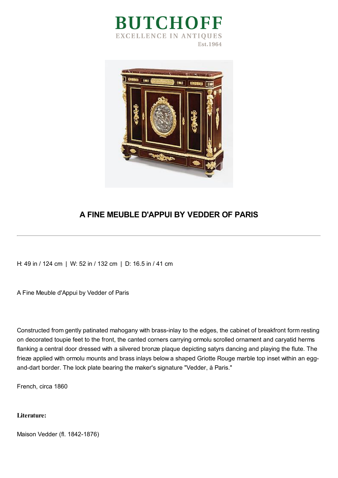



## **A FINE MEUBLE D'APPUI BY VEDDER OF PARIS**

H: 49 in / 124 cm | W: 52 in / 132 cm | D: 16.5 in / 41 cm

A Fine Meuble d'Appui by Vedder of Paris

Constructed from gently patinated mahogany with brass-inlay to the edges, the cabinet of breakfront form resting on decorated toupie feet to the front, the canted corners carrying ormolu scrolled ornament and caryatid herms flanking a central door dressed with a silvered bronze plaque depicting satyrs dancing and playing the flute. The frieze applied with ormolu mounts and brass inlays below a shaped Griotte Rouge marble top inset within an eggand-dart border. The lock plate bearing the maker's signature "Vedder, à Paris."

French, circa 1860

## **Literature:**

Maison Vedder (fl. 1842-1876)